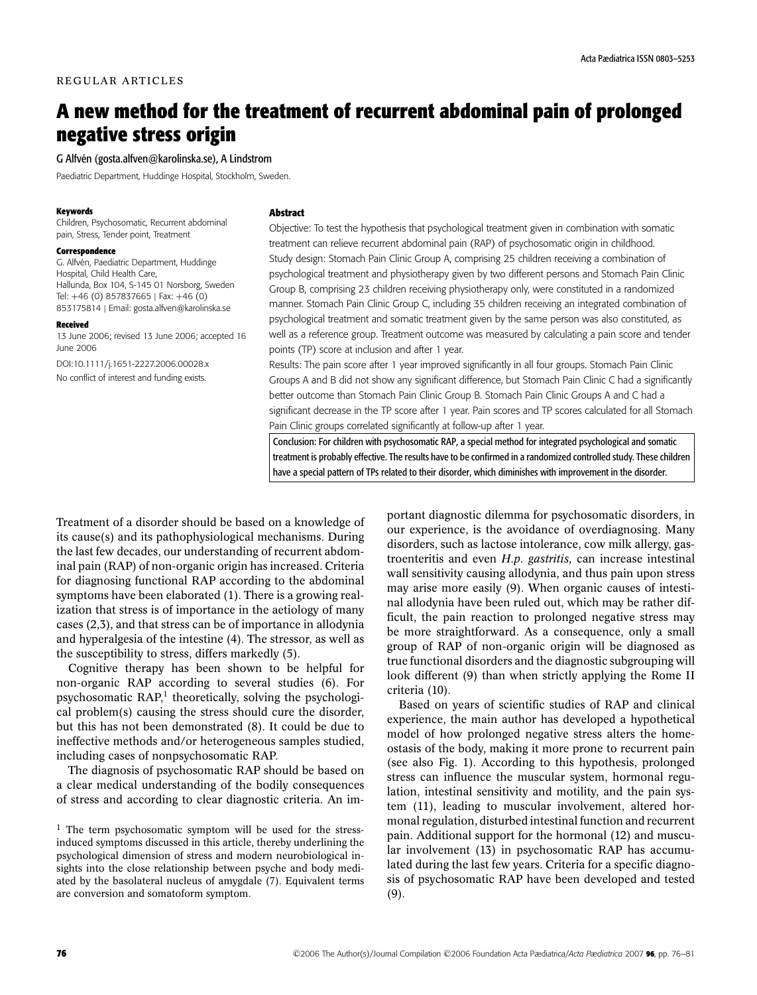# **A new method for the treatment of recurrent abdominal pain of prolonged negative stress origin**

## G Alfvén (gosta.alfven@karolinska.se), A Lindstrom

Paediatric Department, Huddinge Hospital, Stockholm, Sweden.

#### **Keywords**

Children, Psychosomatic, Recurrent abdominal pain, Stress, Tender point, Treatment

#### **Correspondence**

G. Alfvén, Paediatric Department, Huddinge Hospital, Child Health Care, Hallunda, Box 104, S-145 01 Norsborg, Sweden Tel: +46 (0) 857837665 | Fax: +46 (0) 853175814 | Email: gosta.alfven@karolinska.se

#### **Received**

13 June 2006; revised 13 June 2006; accepted 16 June 2006

DOI:10.1111/j.1651-2227.2006.00028.x No conflict of interest and funding exists.

#### **Abstract**

Objective: To test the hypothesis that psychological treatment given in combination with somatic treatment can relieve recurrent abdominal pain (RAP) of psychosomatic origin in childhood. Study design: Stomach Pain Clinic Group A, comprising 25 children receiving a combination of psychological treatment and physiotherapy given by two different persons and Stomach Pain Clinic Group B, comprising 23 children receiving physiotherapy only, were constituted in a randomized manner. Stomach Pain Clinic Group C, including 35 children receiving an integrated combination of psychological treatment and somatic treatment given by the same person was also constituted, as well as a reference group. Treatment outcome was measured by calculating a pain score and tender points (TP) score at inclusion and after 1 year.

Results: The pain score after 1 year improved significantly in all four groups. Stomach Pain Clinic Groups A and B did not show any significant difference, but Stomach Pain Clinic C had a significantly better outcome than Stomach Pain Clinic Group B. Stomach Pain Clinic Groups A and C had a significant decrease in the TP score after 1 year. Pain scores and TP scores calculated for all Stomach Pain Clinic groups correlated significantly at follow-up after 1 year.

Conclusion: For children with psychosomatic RAP, a special method for integrated psychological and somatic treatment is probably effective. The results have to be confirmed in a randomized controlled study. These children have a special pattern of TPs related to their disorder, which diminishes with improvement in the disorder.

Treatment of a disorder should be based on a knowledge of its cause(s) and its pathophysiological mechanisms. During the last few decades, our understanding of recurrent abdominal pain (RAP) of non-organic origin has increased. Criteria for diagnosing functional RAP according to the abdominal symptoms have been elaborated (1). There is a growing realization that stress is of importance in the aetiology of many cases (2,3), and that stress can be of importance in allodynia and hyperalgesia of the intestine (4). The stressor, as well as the susceptibility to stress, differs markedly (5).

Cognitive therapy has been shown to be helpful for non-organic RAP according to several studies (6). For psychosomatic  $\mathbb{R}AP<sub>i</sub>$  theoretically, solving the psychological problem(s) causing the stress should cure the disorder, but this has not been demonstrated (8). It could be due to ineffective methods and/or heterogeneous samples studied, including cases of nonpsychosomatic RAP.

The diagnosis of psychosomatic RAP should be based on a clear medical understanding of the bodily consequences of stress and according to clear diagnostic criteria. An important diagnostic dilemma for psychosomatic disorders, in our experience, is the avoidance of overdiagnosing. Many disorders, such as lactose intolerance, cow milk allergy, gastroenteritis and even *H.p. gastritis,* can increase intestinal wall sensitivity causing allodynia, and thus pain upon stress may arise more easily (9). When organic causes of intestinal allodynia have been ruled out, which may be rather difficult, the pain reaction to prolonged negative stress may be more straightforward. As a consequence, only a small group of RAP of non-organic origin will be diagnosed as true functional disorders and the diagnostic subgrouping will look different (9) than when strictly applying the Rome II criteria (10).

Based on years of scientific studies of RAP and clinical experience, the main author has developed a hypothetical model of how prolonged negative stress alters the homeostasis of the body, making it more prone to recurrent pain (see also Fig. 1). According to this hypothesis, prolonged stress can influence the muscular system, hormonal regulation, intestinal sensitivity and motility, and the pain system (11), leading to muscular involvement, altered hormonal regulation, disturbed intestinal function and recurrent pain. Additional support for the hormonal (12) and muscular involvement (13) in psychosomatic RAP has accumulated during the last few years. Criteria for a specific diagnosis of psychosomatic RAP have been developed and tested (9).

<sup>&</sup>lt;sup>1</sup> The term psychosomatic symptom will be used for the stressinduced symptoms discussed in this article, thereby underlining the psychological dimension of stress and modern neurobiological insights into the close relationship between psyche and body mediated by the basolateral nucleus of amygdale (7). Equivalent terms are conversion and somatoform symptom.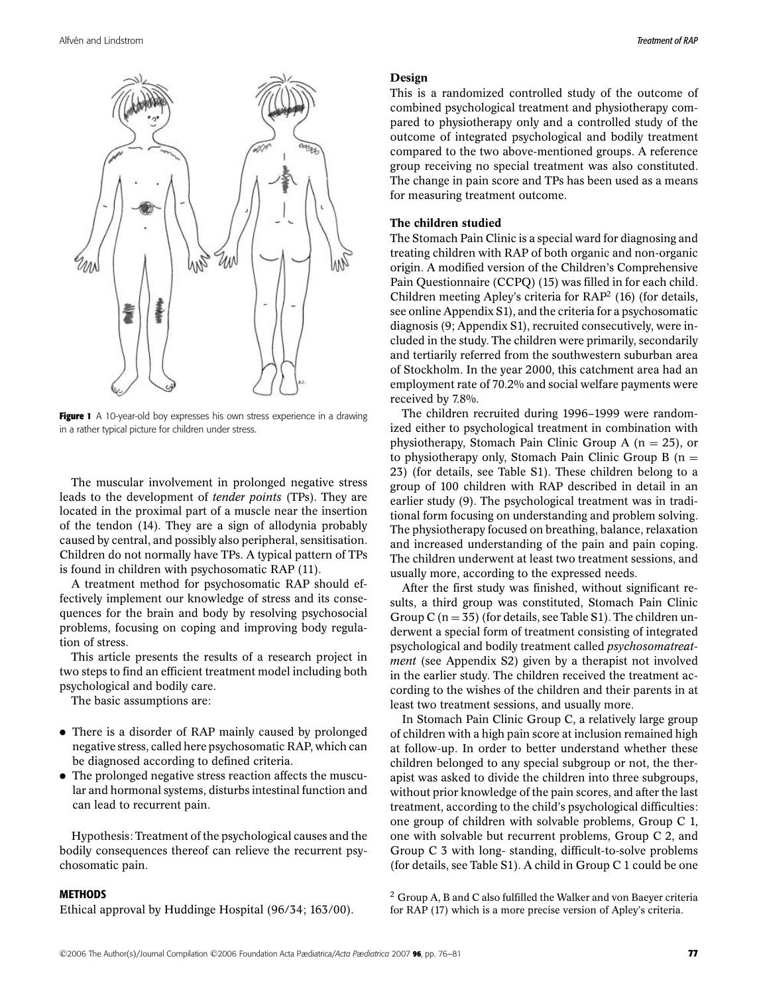

Figure 1 A 10-year-old boy expresses his own stress experience in a drawing in a rather typical picture for children under stress.

The muscular involvement in prolonged negative stress leads to the development of *tender points* (TPs). They are located in the proximal part of a muscle near the insertion of the tendon (14). They are a sign of allodynia probably caused by central, and possibly also peripheral, sensitisation. Children do not normally have TPs. A typical pattern of TPs is found in children with psychosomatic RAP (11).

A treatment method for psychosomatic RAP should effectively implement our knowledge of stress and its consequences for the brain and body by resolving psychosocial problems, focusing on coping and improving body regulation of stress.

This article presents the results of a research project in two steps to find an efficient treatment model including both psychological and bodily care.

The basic assumptions are:

- There is a disorder of RAP mainly caused by prolonged negative stress, called here psychosomatic RAP, which can be diagnosed according to defined criteria.
- The prolonged negative stress reaction affects the muscular and hormonal systems, disturbs intestinal function and can lead to recurrent pain.

Hypothesis: Treatment of the psychological causes and the bodily consequences thereof can relieve the recurrent psychosomatic pain.

#### **METHODS**

Ethical approval by Huddinge Hospital (96/34; 163/00).

#### Design

This is a randomized controlled study of the outcome of combined psychological treatment and physiotherapy compared to physiotherapy only and a controlled study of the outcome of integrated psychological and bodily treatment compared to the two above-mentioned groups. A reference group receiving no special treatment was also constituted. The change in pain score and TPs has been used as a means for measuring treatment outcome.

#### The children studied

The Stomach Pain Clinic is a special ward for diagnosing and treating children with RAP of both organic and non-organic origin. A modified version of the Children's Comprehensive Pain Questionnaire (CCPQ) (15) was filled in for each child. Children meeting Apley's criteria for RAP<sup>2</sup> (16) (for details, see online Appendix S1), and the criteria for a psychosomatic diagnosis (9; Appendix S1), recruited consecutively, were included in the study. The children were primarily, secondarily and tertiarily referred from the southwestern suburban area of Stockholm. In the year 2000, this catchment area had an employment rate of 70.2% and social welfare payments were received by 7.8%.

The children recruited during 1996–1999 were randomized either to psychological treatment in combination with physiotherapy, Stomach Pain Clinic Group A ( $n = 25$ ), or to physiotherapy only. Stomach Pain Clinic Group B  $(n =$ 23) (for details, see Table S1). These children belong to a group of 100 children with RAP described in detail in an earlier study (9). The psychological treatment was in traditional form focusing on understanding and problem solving. The physiotherapy focused on breathing, balance, relaxation and increased understanding of the pain and pain coping. The children underwent at least two treatment sessions, and usually more, according to the expressed needs.

After the first study was finished, without significant results, a third group was constituted, Stomach Pain Clinic Group C ( $n = 35$ ) (for details, see Table S1). The children underwent a special form of treatment consisting of integrated psychological and bodily treatment called *psychosomatreatment* (see Appendix S2) given by a therapist not involved in the earlier study. The children received the treatment according to the wishes of the children and their parents in at least two treatment sessions, and usually more.

In Stomach Pain Clinic Group C, a relatively large group of children with a high pain score at inclusion remained high at follow-up. In order to better understand whether these children belonged to any special subgroup or not, the therapist was asked to divide the children into three subgroups, without prior knowledge of the pain scores, and after the last treatment, according to the child's psychological difficulties: one group of children with solvable problems, Group C 1, one with solvable but recurrent problems, Group C 2, and Group C 3 with long- standing, difficult-to-solve problems (for details, see Table S1). A child in Group C 1 could be one

 $2$  Group A, B and C also fulfilled the Walker and von Baeyer criteria for RAP (17) which is a more precise version of Apley's criteria.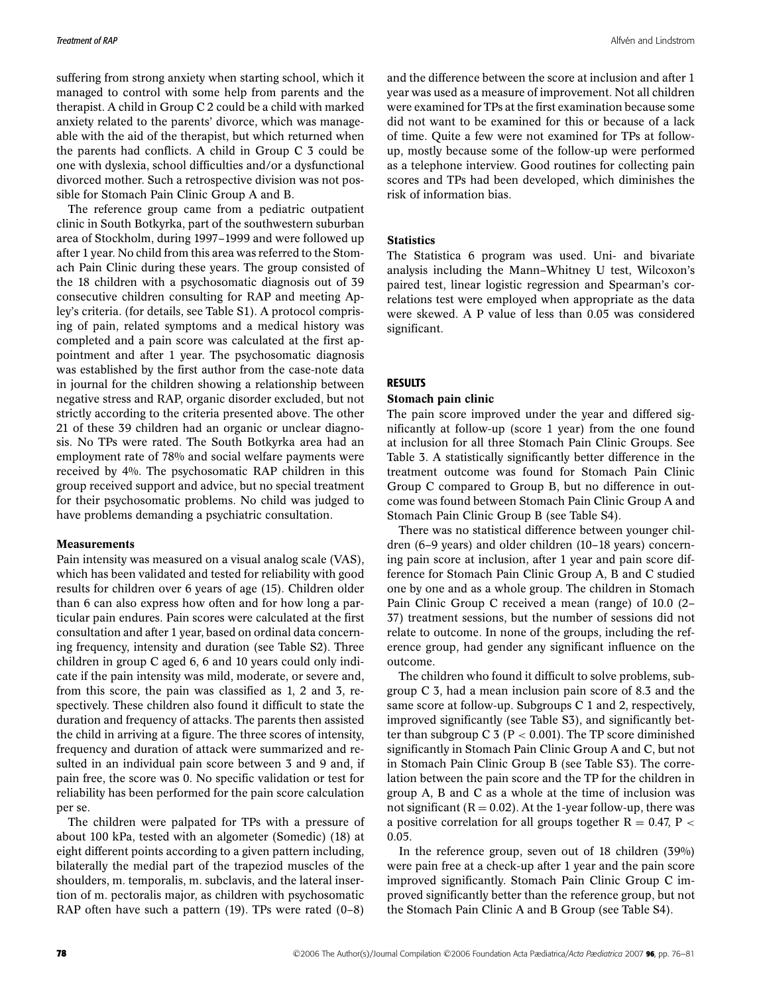suffering from strong anxiety when starting school, which it managed to control with some help from parents and the therapist. A child in Group C 2 could be a child with marked anxiety related to the parents' divorce, which was manageable with the aid of the therapist, but which returned when the parents had conflicts. A child in Group C 3 could be one with dyslexia, school difficulties and/or a dysfunctional divorced mother. Such a retrospective division was not possible for Stomach Pain Clinic Group A and B.

The reference group came from a pediatric outpatient clinic in South Botkyrka, part of the southwestern suburban area of Stockholm, during 1997–1999 and were followed up after 1 year. No child from this area was referred to the Stomach Pain Clinic during these years. The group consisted of the 18 children with a psychosomatic diagnosis out of 39 consecutive children consulting for RAP and meeting Apley's criteria. (for details, see Table S1). A protocol comprising of pain, related symptoms and a medical history was completed and a pain score was calculated at the first appointment and after 1 year. The psychosomatic diagnosis was established by the first author from the case-note data in journal for the children showing a relationship between negative stress and RAP, organic disorder excluded, but not strictly according to the criteria presented above. The other 21 of these 39 children had an organic or unclear diagnosis. No TPs were rated. The South Botkyrka area had an employment rate of 78% and social welfare payments were received by 4%. The psychosomatic RAP children in this group received support and advice, but no special treatment for their psychosomatic problems. No child was judged to have problems demanding a psychiatric consultation.

## Measurements

Pain intensity was measured on a visual analog scale (VAS), which has been validated and tested for reliability with good results for children over 6 years of age (15). Children older than 6 can also express how often and for how long a particular pain endures. Pain scores were calculated at the first consultation and after 1 year, based on ordinal data concerning frequency, intensity and duration (see Table S2). Three children in group C aged 6, 6 and 10 years could only indicate if the pain intensity was mild, moderate, or severe and, from this score, the pain was classified as 1, 2 and 3, respectively. These children also found it difficult to state the duration and frequency of attacks. The parents then assisted the child in arriving at a figure. The three scores of intensity, frequency and duration of attack were summarized and resulted in an individual pain score between 3 and 9 and, if pain free, the score was 0. No specific validation or test for reliability has been performed for the pain score calculation per se.

The children were palpated for TPs with a pressure of about 100 kPa, tested with an algometer (Somedic) (18) at eight different points according to a given pattern including, bilaterally the medial part of the trapeziod muscles of the shoulders, m. temporalis, m. subclavis, and the lateral insertion of m. pectoralis major, as children with psychosomatic RAP often have such a pattern (19). TPs were rated (0–8) and the difference between the score at inclusion and after 1 year was used as a measure of improvement. Not all children were examined for TPs at the first examination because some did not want to be examined for this or because of a lack of time. Quite a few were not examined for TPs at followup, mostly because some of the follow-up were performed as a telephone interview. Good routines for collecting pain scores and TPs had been developed, which diminishes the risk of information bias.

## **Statistics**

The Statistica 6 program was used. Uni- and bivariate analysis including the Mann–Whitney U test, Wilcoxon's paired test, linear logistic regression and Spearman's correlations test were employed when appropriate as the data were skewed. A P value of less than 0.05 was considered significant.

### **RESULTS**

## Stomach pain clinic

The pain score improved under the year and differed significantly at follow-up (score 1 year) from the one found at inclusion for all three Stomach Pain Clinic Groups. See Table 3. A statistically significantly better difference in the treatment outcome was found for Stomach Pain Clinic Group C compared to Group B, but no difference in outcome was found between Stomach Pain Clinic Group A and Stomach Pain Clinic Group B (see Table S4).

There was no statistical difference between younger children (6–9 years) and older children (10–18 years) concerning pain score at inclusion, after 1 year and pain score difference for Stomach Pain Clinic Group A, B and C studied one by one and as a whole group. The children in Stomach Pain Clinic Group C received a mean (range) of 10.0 (2– 37) treatment sessions, but the number of sessions did not relate to outcome. In none of the groups, including the reference group, had gender any significant influence on the outcome.

The children who found it difficult to solve problems, subgroup C 3, had a mean inclusion pain score of 8.3 and the same score at follow-up. Subgroups C 1 and 2, respectively, improved significantly (see Table S3), and significantly better than subgroup C 3 ( $P < 0.001$ ). The TP score diminished significantly in Stomach Pain Clinic Group A and C, but not in Stomach Pain Clinic Group B (see Table S3). The correlation between the pain score and the TP for the children in group A, B and C as a whole at the time of inclusion was not significant ( $R = 0.02$ ). At the 1-year follow-up, there was a positive correlation for all groups together  $R = 0.47$ ,  $P <$ 0.05.

In the reference group, seven out of 18 children (39%) were pain free at a check-up after 1 year and the pain score improved significantly. Stomach Pain Clinic Group C improved significantly better than the reference group, but not the Stomach Pain Clinic A and B Group (see Table S4).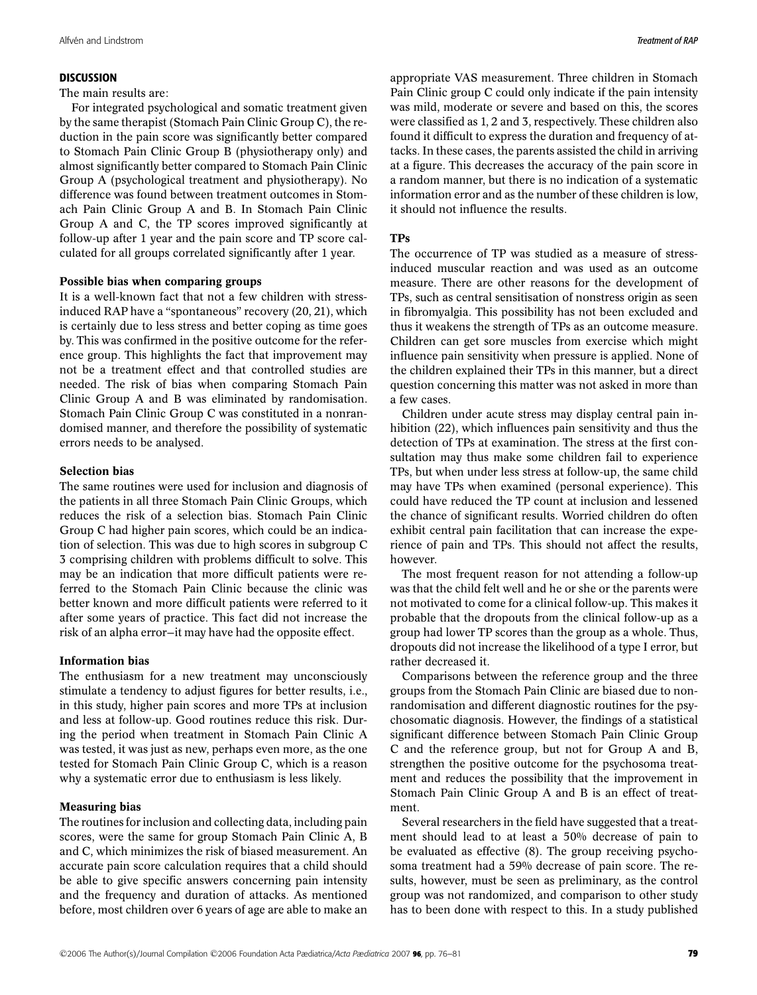#### **DISCUSSION**

The main results are:

For integrated psychological and somatic treatment given by the same therapist (Stomach Pain Clinic Group C), the reduction in the pain score was significantly better compared to Stomach Pain Clinic Group B (physiotherapy only) and almost significantly better compared to Stomach Pain Clinic Group A (psychological treatment and physiotherapy). No difference was found between treatment outcomes in Stomach Pain Clinic Group A and B. In Stomach Pain Clinic Group A and C, the TP scores improved significantly at follow-up after 1 year and the pain score and TP score calculated for all groups correlated significantly after 1 year.

#### Possible bias when comparing groups

It is a well-known fact that not a few children with stressinduced RAP have a "spontaneous" recovery (20, 21), which is certainly due to less stress and better coping as time goes by. This was confirmed in the positive outcome for the reference group. This highlights the fact that improvement may not be a treatment effect and that controlled studies are needed. The risk of bias when comparing Stomach Pain Clinic Group A and B was eliminated by randomisation. Stomach Pain Clinic Group C was constituted in a nonrandomised manner, and therefore the possibility of systematic errors needs to be analysed.

#### Selection bias

The same routines were used for inclusion and diagnosis of the patients in all three Stomach Pain Clinic Groups, which reduces the risk of a selection bias. Stomach Pain Clinic Group C had higher pain scores, which could be an indication of selection. This was due to high scores in subgroup C 3 comprising children with problems difficult to solve. This may be an indication that more difficult patients were referred to the Stomach Pain Clinic because the clinic was better known and more difficult patients were referred to it after some years of practice. This fact did not increase the risk of an alpha error—it may have had the opposite effect.

#### Information bias

The enthusiasm for a new treatment may unconsciously stimulate a tendency to adjust figures for better results, i.e., in this study, higher pain scores and more TPs at inclusion and less at follow-up. Good routines reduce this risk. During the period when treatment in Stomach Pain Clinic A was tested, it was just as new, perhaps even more, as the one tested for Stomach Pain Clinic Group C, which is a reason why a systematic error due to enthusiasm is less likely.

## Measuring bias

The routines for inclusion and collecting data, including pain scores, were the same for group Stomach Pain Clinic A, B and C, which minimizes the risk of biased measurement. An accurate pain score calculation requires that a child should be able to give specific answers concerning pain intensity and the frequency and duration of attacks. As mentioned before, most children over 6 years of age are able to make an appropriate VAS measurement. Three children in Stomach Pain Clinic group C could only indicate if the pain intensity was mild, moderate or severe and based on this, the scores were classified as 1, 2 and 3, respectively. These children also found it difficult to express the duration and frequency of attacks. In these cases, the parents assisted the child in arriving at a figure. This decreases the accuracy of the pain score in a random manner, but there is no indication of a systematic information error and as the number of these children is low, it should not influence the results.

#### TPs

The occurrence of TP was studied as a measure of stressinduced muscular reaction and was used as an outcome measure. There are other reasons for the development of TPs, such as central sensitisation of nonstress origin as seen in fibromyalgia. This possibility has not been excluded and thus it weakens the strength of TPs as an outcome measure. Children can get sore muscles from exercise which might influence pain sensitivity when pressure is applied. None of the children explained their TPs in this manner, but a direct question concerning this matter was not asked in more than a few cases.

Children under acute stress may display central pain inhibition (22), which influences pain sensitivity and thus the detection of TPs at examination. The stress at the first consultation may thus make some children fail to experience TPs, but when under less stress at follow-up, the same child may have TPs when examined (personal experience). This could have reduced the TP count at inclusion and lessened the chance of significant results. Worried children do often exhibit central pain facilitation that can increase the experience of pain and TPs. This should not affect the results, however.

The most frequent reason for not attending a follow-up was that the child felt well and he or she or the parents were not motivated to come for a clinical follow-up. This makes it probable that the dropouts from the clinical follow-up as a group had lower TP scores than the group as a whole. Thus, dropouts did not increase the likelihood of a type I error, but rather decreased it.

Comparisons between the reference group and the three groups from the Stomach Pain Clinic are biased due to nonrandomisation and different diagnostic routines for the psychosomatic diagnosis. However, the findings of a statistical significant difference between Stomach Pain Clinic Group C and the reference group, but not for Group A and B, strengthen the positive outcome for the psychosoma treatment and reduces the possibility that the improvement in Stomach Pain Clinic Group A and B is an effect of treatment.

Several researchers in the field have suggested that a treatment should lead to at least a 50% decrease of pain to be evaluated as effective (8). The group receiving psychosoma treatment had a 59% decrease of pain score. The results, however, must be seen as preliminary, as the control group was not randomized, and comparison to other study has to been done with respect to this. In a study published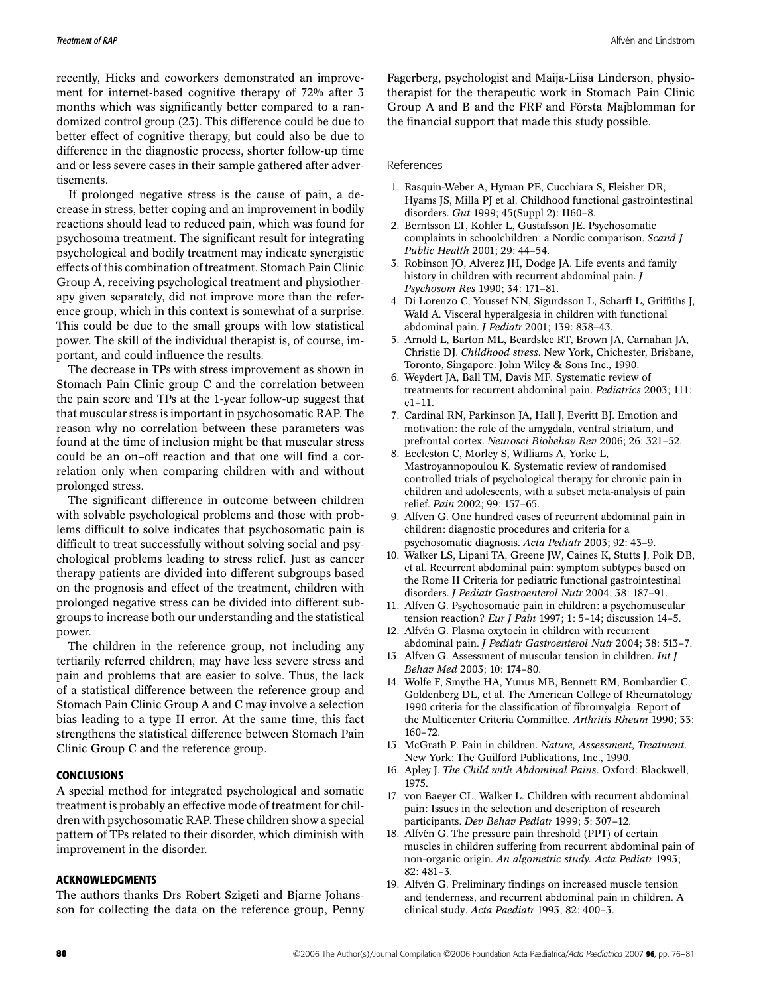recently, Hicks and coworkers demonstrated an improvement for internet-based cognitive therapy of 72% after 3 months which was significantly better compared to a randomized control group (23). This difference could be due to better effect of cognitive therapy, but could also be due to difference in the diagnostic process, shorter follow-up time and or less severe cases in their sample gathered after advertisements.

If prolonged negative stress is the cause of pain, a decrease in stress, better coping and an improvement in bodily reactions should lead to reduced pain, which was found for psychosoma treatment. The significant result for integrating psychological and bodily treatment may indicate synergistic effects of this combination of treatment. Stomach Pain Clinic Group A, receiving psychological treatment and physiotherapy given separately, did not improve more than the reference group, which in this context is somewhat of a surprise. This could be due to the small groups with low statistical power. The skill of the individual therapist is, of course, important, and could influence the results.

The decrease in TPs with stress improvement as shown in Stomach Pain Clinic group C and the correlation between the pain score and TPs at the 1-year follow-up suggest that that muscular stress is important in psychosomatic RAP. The reason why no correlation between these parameters was found at the time of inclusion might be that muscular stress could be an on–off reaction and that one will find a correlation only when comparing children with and without prolonged stress.

The significant difference in outcome between children with solvable psychological problems and those with problems difficult to solve indicates that psychosomatic pain is difficult to treat successfully without solving social and psychological problems leading to stress relief. Just as cancer therapy patients are divided into different subgroups based on the prognosis and effect of the treatment, children with prolonged negative stress can be divided into different subgroups to increase both our understanding and the statistical power.

The children in the reference group, not including any tertiarily referred children, may have less severe stress and pain and problems that are easier to solve. Thus, the lack of a statistical difference between the reference group and Stomach Pain Clinic Group A and C may involve a selection bias leading to a type II error. At the same time, this fact strengthens the statistical difference between Stomach Pain Clinic Group C and the reference group.

#### **CONCLUSIONS**

A special method for integrated psychological and somatic treatment is probably an effective mode of treatment for children with psychosomatic RAP. These children show a special pattern of TPs related to their disorder, which diminish with improvement in the disorder.

### **ACKNOWLEDGMENTS**

The authors thanks Drs Robert Szigeti and Bjarne Johansson for collecting the data on the reference group, Penny Fagerberg, psychologist and Maija-Liisa Linderson, physiotherapist for the therapeutic work in Stomach Pain Clinic Group A and B and the FRF and Första Majblomman for the financial support that made this study possible.

#### References

- 1. Rasquin-Weber A, Hyman PE, Cucchiara S, Fleisher DR, Hyams JS, Milla PJ et al. Childhood functional gastrointestinal disorders. *Gut* 1999; 45(Suppl 2): II60–8.
- 2. Berntsson LT, Kohler L, Gustafsson JE. Psychosomatic complaints in schoolchildren: a Nordic comparison. *Scand J Public Health* 2001; 29: 44–54.
- 3. Robinson JO, Alverez JH, Dodge JA. Life events and family history in children with recurrent abdominal pain. *J Psychosom Res* 1990; 34: 171–81.
- 4. Di Lorenzo C, Youssef NN, Sigurdsson L, Scharff L, Griffiths J, Wald A. Visceral hyperalgesia in children with functional abdominal pain. *J Pediatr* 2001; 139: 838–43.
- 5. Arnold L, Barton ML, Beardslee RT, Brown JA, Carnahan JA, Christie DJ. *Childhood stress*. New York, Chichester, Brisbane, Toronto, Singapore: John Wiley & Sons Inc., 1990.
- 6. Weydert JA, Ball TM, Davis MF. Systematic review of treatments for recurrent abdominal pain. *Pediatrics* 2003; 111: e1–11.
- 7. Cardinal RN, Parkinson JA, Hall J, Everitt BJ. Emotion and motivation: the role of the amygdala, ventral striatum, and prefrontal cortex. *Neurosci Biobehav Rev* 2006; 26: 321–52.
- 8. Eccleston C, Morley S, Williams A, Yorke L, Mastroyannopoulou K. Systematic review of randomised controlled trials of psychological therapy for chronic pain in children and adolescents, with a subset meta-analysis of pain relief. *Pain* 2002; 99: 157–65.
- 9. Alfven G. One hundred cases of recurrent abdominal pain in children: diagnostic procedures and criteria for a psychosomatic diagnosis. *Acta Pediatr* 2003; 92: 43–9.
- 10. Walker LS, Lipani TA, Greene JW, Caines K, Stutts J, Polk DB, et al. Recurrent abdominal pain: symptom subtypes based on the Rome II Criteria for pediatric functional gastrointestinal disorders. *J Pediatr Gastroenterol Nutr* 2004; 38: 187–91.
- 11. Alfven G. Psychosomatic pain in children: a psychomuscular tension reaction? *Eur J Pain* 1997; 1: 5–14; discussion 14–5.
- 12. Alfvén G. Plasma oxytocin in children with recurrent abdominal pain. *J Pediatr Gastroenterol Nutr* 2004; 38: 513–7.
- 13. Alfven G. Assessment of muscular tension in children. *Int J Behav Med* 2003; 10: 174–80.
- 14. Wolfe F, Smythe HA, Yunus MB, Bennett RM, Bombardier C, Goldenberg DL, et al. The American College of Rheumatology 1990 criteria for the classification of fibromyalgia. Report of the Multicenter Criteria Committee. *Arthritis Rheum* 1990; 33: 160–72.
- 15. McGrath P. Pain in children. *Nature, Assessment, Treatment*. New York: The Guilford Publications, Inc., 1990.
- 16. Apley J. *The Child with Abdominal Pains*. Oxford: Blackwell, 1975.
- 17. von Baeyer CL, Walker L. Children with recurrent abdominal pain: Issues in the selection and description of research participants. *Dev Behav Pediatr* 1999; 5: 307–12.
- 18. Alfvén G. The pressure pain threshold (PPT) of certain muscles in children suffering from recurrent abdominal pain of non-organic origin. *An algometric study. Acta Pediatr* 1993; 82: 481–3.
- 19. Alfvén G. Preliminary findings on increased muscle tension and tenderness, and recurrent abdominal pain in children. A clinical study. *Acta Paediatr* 1993; 82: 400–3.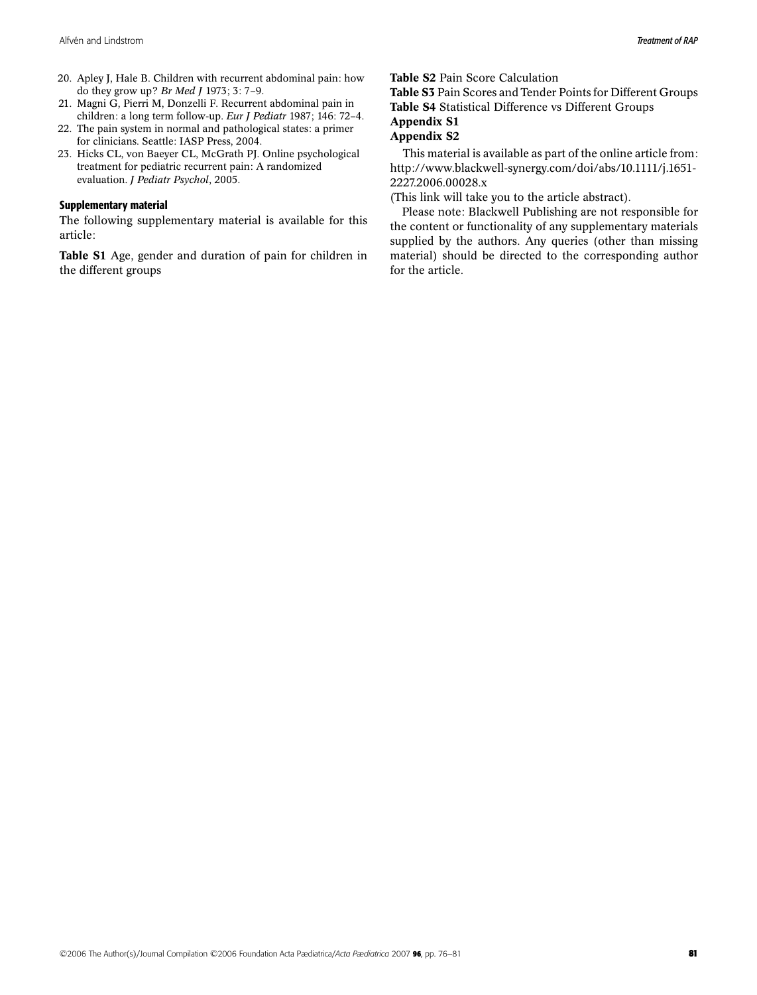- 20. Apley J, Hale B. Children with recurrent abdominal pain: how do they grow up? *Br Med J* 1973; 3: 7–9.
- 21. Magni G, Pierri M, Donzelli F. Recurrent abdominal pain in children: a long term follow-up. *Eur J Pediatr* 1987; 146: 72-4.
- 22. The pain system in normal and pathological states: a primer for clinicians. Seattle: IASP Press, 2004.
- 23. Hicks CL, von Baeyer CL, McGrath PJ. Online psychological treatment for pediatric recurrent pain: A randomized evaluation. *J Pediatr Psychol*, 2005.

#### **Supplementary material**

The following supplementary material is available for this article:

Table S1 Age, gender and duration of pain for children in the different groups

## Table S2 Pain Score Calculation

Table S3 Pain Scores and Tender Points for Different Groups Table S4 Statistical Difference vs Different Groups Appendix S1

## Appendix S2

This material is available as part of the online article from: http://www.blackwell-synergy.com/doi/abs/10.1111/j.1651- 2227.2006.00028.x

(This link will take you to the article abstract).

Please note: Blackwell Publishing are not responsible for the content or functionality of any supplementary materials supplied by the authors. Any queries (other than missing material) should be directed to the corresponding author for the article.